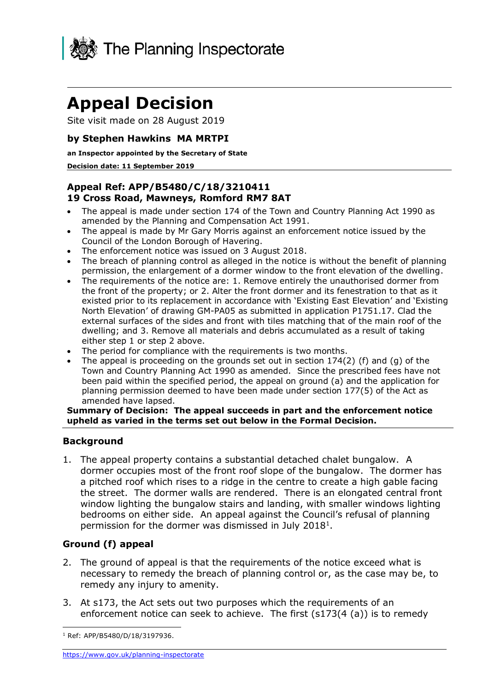

# **Appeal Decision**

Site visit made on 28 August 2019

## **by Stephen Hawkins MA MRTPI**

#### **an Inspector appointed by the Secretary of State**

#### **Decision date: 11 September 2019**

## **Appeal Ref: APP/B5480/C/18/3210411 19 Cross Road, Mawneys, Romford RM7 8AT**

- • The appeal is made under section 174 of the Town and Country Planning Act 1990 as amended by the Planning and Compensation Act 1991.
- • The appeal is made by Mr Gary Morris against an enforcement notice issued by the Council of the London Borough of Havering.
- The enforcement notice was issued on 3 August 2018.
- • The breach of planning control as alleged in the notice is without the benefit of planning permission, the enlargement of a dormer window to the front elevation of the dwelling.
- the front of the property; or 2. Alter the front dormer and its fenestration to that as it existed prior to its replacement in accordance with 'Existing East Elevation' and 'Existing North Elevation' of drawing GM-PA05 as submitted in application P1751.17. Clad the external surfaces of the sides and front with tiles matching that of the main roof of the dwelling; and 3. Remove all materials and debris accumulated as a result of taking either step 1 or step 2 above. • The requirements of the notice are: 1. Remove entirely the unauthorised dormer from
- The period for compliance with the requirements is two months.
- The appeal is proceeding on the grounds set out in section  $174(2)$  (f) and (g) of the Town and Country Planning Act 1990 as amended. Since the prescribed fees have not been paid within the specified period, the appeal on ground (a) and the application for planning permission deemed to have been made under section 177(5) of the Act as amended have lapsed.

#### **Summary of Decision: The appeal succeeds in part and the enforcement notice upheld as varied in the terms set out below in the Formal Decision.**

### **Background**

 1. The appeal property contains a substantial detached chalet bungalow. A dormer occupies most of the front roof slope of the bungalow. The dormer has a pitched roof which rises to a ridge in the centre to create a high gable facing the street. The dormer walls are rendered. There is an elongated central front window lighting the bungalow stairs and landing, with smaller windows lighting bedrooms on either side. An appeal against the Council's refusal of planning permission for the dormer was dismissed in July 2018<sup>1</sup>.

# **Ground (f) appeal**

- 2. The ground of appeal is that the requirements of the notice exceed what is necessary to remedy the breach of planning control or, as the case may be, to remedy any injury to amenity.
- 3. At s173, the Act sets out two purposes which the requirements of an enforcement notice can seek to achieve. The first (s173(4 (a)) is to remedy

-

<sup>1</sup> Ref: APP/B5480/D/18/3197936.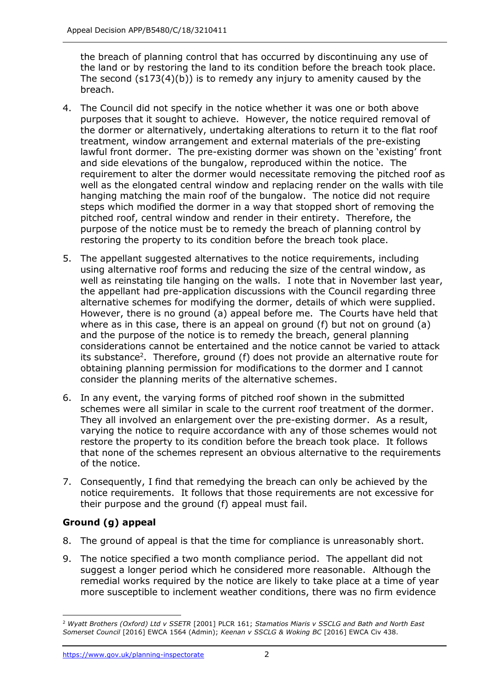the breach of planning control that has occurred by discontinuing any use of the land or by restoring the land to its condition before the breach took place. The second (s173(4)(b)) is to remedy any injury to amenity caused by the breach.

- breach. 4. The Council did not specify in the notice whether it was one or both above purposes that it sought to achieve. However, the notice required removal of treatment, window arrangement and external materials of the pre-existing lawful front dormer. The pre-existing dormer was shown on the 'existing' front and side elevations of the bungalow, reproduced within the notice. The requirement to alter the dormer would necessitate removing the pitched roof as well as the elongated central window and replacing render on the walls with tile hanging matching the main roof of the bungalow. The notice did not require steps which modified the dormer in a way that stopped short of removing the pitched roof, central window and render in their entirety. Therefore, the purpose of the notice must be to remedy the breach of planning control by restoring the property to its condition before the breach took place. the dormer or alternatively, undertaking alterations to return it to the flat roof
- 5. The appellant suggested alternatives to the notice requirements, including using alternative roof forms and reducing the size of the central window, as well as reinstating tile hanging on the walls. I note that in November last year, the appellant had pre-application discussions with the Council regarding three alternative schemes for modifying the dormer, details of which were supplied. However, there is no ground (a) appeal before me. The Courts have held that where as in this case, there is an appeal on ground (f) but not on ground (a) and the purpose of the notice is to remedy the breach, general planning considerations cannot be entertained and the notice cannot be varied to attack its substance<sup>2</sup>. Therefore, ground (f) does not provide an alternative route for obtaining planning permission for modifications to the dormer and I cannot consider the planning merits of the alternative schemes.
- 6. In any event, the varying forms of pitched roof shown in the submitted schemes were all similar in scale to the current roof treatment of the dormer. They all involved an enlargement over the pre-existing dormer. As a result, varying the notice to require accordance with any of those schemes would not restore the property to its condition before the breach took place. It follows that none of the schemes represent an obvious alternative to the requirements of the notice.
- 7. Consequently, I find that remedying the breach can only be achieved by the notice requirements. It follows that those requirements are not excessive for their purpose and the ground (f) appeal must fail.

# **Ground (g) appeal**

- 8. The ground of appeal is that the time for compliance is unreasonably short.
- 9. The notice specified a two month compliance period. The appellant did not suggest a longer period which he considered more reasonable. Although the remedial works required by the notice are likely to take place at a time of year more susceptible to inclement weather conditions, there was no firm evidence

<sup>-</sup> *Somerset Council* [2016] EWCA 1564 (Admin); *Keenan v SSCLG & Woking BC* [2016] EWCA Civ 438. <sup>2</sup>*Wyatt Brothers (Oxford) Ltd v SSETR* [2001] PLCR 161; *Stamatios Miaris v SSCLG and Bath and North East*